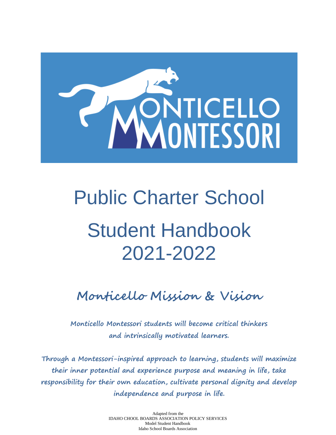

# Public Charter School Student Handbook 2021-2022

**Monticello Mission & Vision**

**Monticello Montessori students will become critical thinkers and intrinsically motivated learners.**

**Through a Montessori-inspired approach to learning, students will maximize their inner potential and experience purpose and meaning in life, take responsibility for their own education, cultivate personal dignity and develop independence and purpose in life.**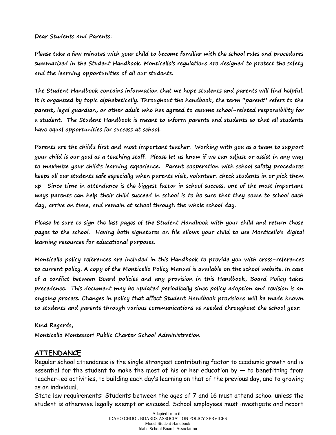**Dear Students and Parents:**

**Please take a few minutes with your child to become familiar with the school rules and procedures summarized in the Student Handbook. Monticello's regulations are designed to protect the safety and the learning opportunities of all our students.** 

**The Student Handbook contains information that we hope students and parents will find helpful. It is organized by topic alphabetically. Throughout the handbook, the term "parent" refers to the parent, legal guardian, or other adult who has agreed to assume school-related responsibility for a student. The Student Handbook is meant to inform parents and students so that all students have equal opportunities for success at school.** 

**Parents are the child's first and most important teacher. Working with you as a team to support your child is our goal as a teaching staff. Please let us know if we can adjust or assist in any way to maximize your child's learning experience. Parent cooperation with school safety procedures keeps all our students safe especially when parents visit, volunteer, check students in or pick them up. Since time in attendance is the biggest factor in school success, one of the most important ways parents can help their child succeed in school is to be sure that they come to school each day, arrive on time, and remain at school through the whole school day.** 

**Please be sure to sign the last pages of the Student Handbook with your child and return those pages to the school. Having both signatures on file allows your child to use Monticello's digital learning resources for educational purposes.**

**Monticello policy references are included in this Handbook to provide you with cross-references to current policy. A copy of the Monticello Policy Manual is available on the school website. In case of a conflict between Board policies and any provision in this Handbook, Board Policy takes precedence. This document may be updated periodically since policy adoption and revision is an ongoing process. Changes in policy that affect Student Handbook provisions will be made known to students and parents through various communications as needed throughout the school year.**

#### **Kind Regards,**

**Monticello Montessori Public Charter School Administration**

## **ATTENDANCE**

Regular school attendance is the single strongest contributing factor to academic growth and is essential for the student to make the most of his or her education by — to benefitting from teacher-led activities, to building each day's learning on that of the previous day, and to growing as an individual.

State law requirements: Students between the ages of 7 and 16 must attend school unless the student is otherwise legally exempt or excused. School employees must investigate and report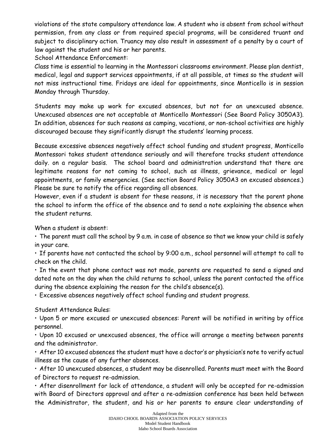violations of the state compulsory attendance law. A student who is absent from school without permission, from any class or from required special programs, will be considered truant and subject to disciplinary action. Truancy may also result in assessment of a penalty by a court of law against the student and his or her parents.

School Attendance Enforcement:

Class time is essential to learning in the Montessori classrooms environment. Please plan dentist, medical, legal and support services appointments, if at all possible, at times so the student will not miss instructional time. Fridays are ideal for appointments, since Monticello is in session Monday through Thursday.

Students may make up work for excused absences, but not for an unexcused absence. Unexcused absences are not acceptable at Monticello Montessori (See Board Policy 3050A3). In addition, absences for such reasons as camping, vacations, or non-school activities are highly discouraged because they significantly disrupt the students' learning process.

Because excessive absences negatively affect school funding and student progress, Monticello Montessori takes student attendance seriously and will therefore tracks student attendance daily. on a regular basis. The school board and administration understand that there are legitimate reasons for not coming to school, such as illness, grievance, medical or legal appointments, or family emergencies. (See section Board Policy 3050A3 on excused absences.) Please be sure to notify the office regarding all absences.

However, even if a student is absent for these reasons, it is necessary that the parent phone the school to inform the office of the absence and to send a note explaining the absence when the student returns.

When a student is absent:

• The parent must call the school by 9 a.m. in case of absence so that we know your child is safely in your care.

• If parents have not contacted the school by 9:00 a.m., school personnel will attempt to call to check on the child.

• In the event that phone contact was not made, parents are requested to send a signed and dated note on the day when the child returns to school, unless the parent contacted the office during the absence explaining the reason for the child's absence(s).

• Excessive absences negatively affect school funding and student progress.

Student Attendance Rules:

• Upon 5 or more excused or unexcused absences: Parent will be notified in writing by office personnel.

• Upon 10 excused or unexcused absences, the office will arrange a meeting between parents and the administrator.

• After 10 excused absences the student must have a doctor's or physician's note to verify actual illness as the cause of any further absences.

• After 10 unexcused absences, a student may be disenrolled. Parents must meet with the Board of Directors to request re-admission.

• After disenrollment for lack of attendance, a student will only be accepted for re-admission with Board of Directors approval and after a re-admission conference has been held between the Administrator, the student, and his or her parents to ensure clear understanding of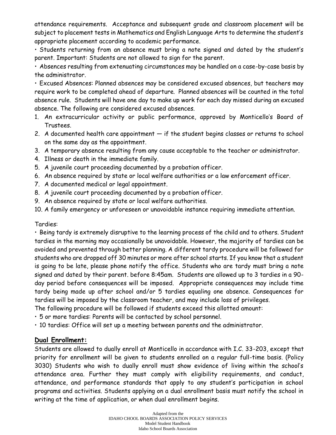attendance requirements. Acceptance and subsequent grade and classroom placement will be subject to placement tests in Mathematics and English Language Arts to determine the student's appropriate placement according to academic performance.

• Students returning from an absence must bring a note signed and dated by the student's parent. Important: Students are not allowed to sign for the parent.

• Absences resulting from extenuating circumstances may be handled on a case-by-case basis by the administrator.

• Excused Absences: Planned absences may be considered excused absences, but teachers may require work to be completed ahead of departure. Planned absences will be counted in the total absence rule. Students will have one day to make up work for each day missed during an excused absence. The following are considered excused absences.

- 1. An extracurricular activity or public performance, approved by Monticello's Board of Trustees.
- 2. A documented health care appointment  $-$  if the student begins classes or returns to school on the same day as the appointment.
- 3. A temporary absence resulting from any cause acceptable to the teacher or administrator.
- 4. Illness or death in the immediate family.
- 5. A juvenile court proceeding documented by a probation officer.
- 6. An absence required by state or local welfare authorities or a law enforcement officer.
- 7. A documented medical or legal appointment.
- 8. A juvenile court proceeding documented by a probation officer.
- 9. An absence required by state or local welfare authorities.

10. A family emergency or unforeseen or unavoidable instance requiring immediate attention.

## Tardies:

• Being tardy is extremely disruptive to the learning process of the child and to others. Student tardies in the morning may occasionally be unavoidable. However, the majority of tardies can be avoided and prevented through better planning. A different tardy procedure will be followed for students who are dropped off 30 minutes or more after school starts. If you know that a student is going to be late, please phone notify the office. Students who are tardy must bring a note signed and dated by their parent. before 8:45am. Students are allowed up to 3 tardies in a 90 day period before consequences will be imposed. Appropriate consequences may include time tardy being made up after school and/or 5 tardies equaling one absence. Consequences for tardies will be imposed by the classroom teacher, and may include loss of privileges.

The following procedure will be followed if students exceed this allotted amount:

• 5 or more tardies: Parents will be contacted by school personnel.

• 10 tardies: Office will set up a meeting between parents and the administrator.

## **Dual Enrollment:**

Students are allowed to dually enroll at Monticello in accordance with I.C. 33-203, except that priority for enrollment will be given to students enrolled on a regular full-time basis. (Policy 3030) Students who wish to dually enroll must show evidence of living within the school's attendance area. Further they must comply with eligibility requirements, and conduct, attendance, and performance standards that apply to any student's participation in school programs and activities. Students applying on a dual enrollment basis must notify the school in writing at the time of application, or when dual enrollment begins.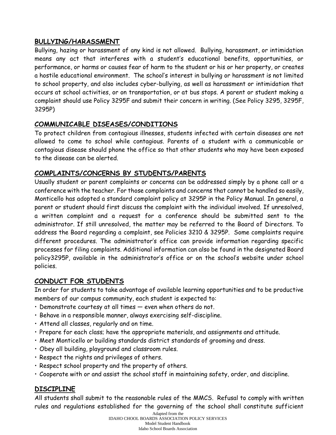## **BULLYING/HARASSMENT**

Bullying, hazing or harassment of any kind is not allowed. Bullying, harassment, or intimidation means any act that interferes with a student's educational benefits, opportunities, or performance, or harms or causes fear of harm to the student or his or her property, or creates a hostile educational environment. The school's interest in bullying or harassment is not limited to school property, and also includes cyber-bullying, as well as harassment or intimidation that occurs at school activities, or on transportation, or at bus stops. A parent or student making a complaint should use Policy 3295F and submit their concern in writing. (See Policy 3295, 3295F, 3295P)

## **COMMUNICABLE DISEASES/CONDITIONS**

To protect children from contagious illnesses, students infected with certain diseases are not allowed to come to school while contagious. Parents of a student with a communicable or contagious disease should phone the office so that other students who may have been exposed to the disease can be alerted.

## **COMPLAINTS/CONCERNS BY STUDENTS/PARENTS**

Usually student or parent complaints or concerns can be addressed simply by a phone call or a conference with the teacher. For those complaints and concerns that cannot be handled so easily, Monticello has adopted a standard complaint policy at 3295P in the Policy Manual. In general, a parent or student should first discuss the complaint with the individual involved. If unresolved, a written complaint and a request for a conference should be submitted sent to the administrator. If still unresolved, the matter may be referred to the Board of Directors. To address the Board regarding a complaint, see Policies 3210 & 3295P. Some complaints require different procedures. The administrator's office can provide information regarding specific processes for filing complaints. Additional information can also be found in the designated Board policy3295P, available in the administrator's office or on the school's website under school policies.

## **CONDUCT FOR STUDENTS**

In order for students to take advantage of available learning opportunities and to be productive members of our campus community, each student is expected to:

- Demonstrate courtesy at all times even when others do not.
- Behave in a responsible manner, always exercising self-discipline.
- Attend all classes, regularly and on time.
- Prepare for each class; have the appropriate materials, and assignments and attitude.
- Meet Monticello or building standards district standards of grooming and dress.
- Obey all building, playground and classroom rules.
- Respect the rights and privileges of others.
- Respect school property and the property of others.
- Cooperate with or and assist the school staff in maintaining safety, order, and discipline.

## **DISCIPLINE**

All students shall submit to the reasonable rules of the MMCS. Refusal to comply with written rules and regulations established for the governing of the school shall constitute sufficient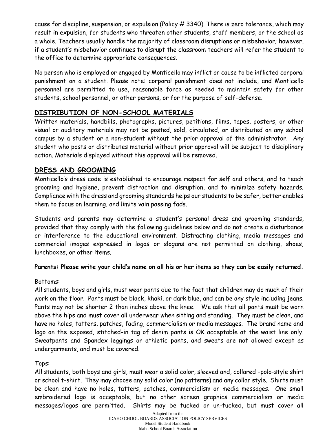cause for discipline, suspension, or expulsion (Policy # 3340). There is zero tolerance, which may result in expulsion, for students who threaten other students, staff members, or the school as a whole. Teachers usually handle the majority of classroom disruptions or misbehavior; however, if a student's misbehavior continues to disrupt the classroom teachers will refer the student to the office to determine appropriate consequences.

No person who is employed or engaged by Monticello may inflict or cause to be inflicted corporal punishment on a student. Please note: corporal punishment does not include, and Monticello personnel are permitted to use, reasonable force as needed to maintain safety for other students, school personnel, or other persons, or for the purpose of self-defense.

## **DISTRIBUTION OF NON-SCHOOL MATERIALS**

Written materials, handbills, photographs, pictures, petitions, films, tapes, posters, or other visual or auditory materials may not be posted, sold, circulated, or distributed on any school campus by a student or a non-student without the prior approval of the administrator. Any student who posts or distributes material without prior approval will be subject to disciplinary action. Materials displayed without this approval will be removed.

#### **DRESS AND GROOMING**

Monticello's dress code is established to encourage respect for self and others, and to teach grooming and hygiene, prevent distraction and disruption, and to minimize safety hazards. Compliance with the dress and grooming standards helps our students to be safer, better enables them to focus on learning, and limits vain passing fads.

Students and parents may determine a student's personal dress and grooming standards, provided that they comply with the following guidelines below and do not create a disturbance or interference to the educational environment. Distracting clothing, media messages and commercial images expressed in logos or slogans are not permitted on clothing, shoes, lunchboxes, or other items.

#### **Parents: Please write your child's name on all his or her items so they can be easily returned.**

#### Bottoms:

All students, boys and girls, must wear pants due to the fact that children may do much of their work on the floor. Pants must be black, khaki, or dark blue, and can be any style including jeans. Pants may not be shorter 2 than inches above the knee. We ask that all pants must be worn above the hips and must cover all underwear when sitting and standing. They must be clean, and have no holes, tatters, patches, fading, commercialism or media messages. The brand name and logo on the exposed, stitched-in tag of denim pants is OK acceptable at the waist line only. Sweatpants and Spandex leggings or athletic pants, and sweats are not allowed except as undergarments, and must be covered.

#### Tops:

All students, both boys and girls, must wear a solid color, sleeved and, collared -polo-style shirt or school t-shirt. They may choose any solid color (no patterns) and any collar style. Shirts must be clean and have no holes, tatters, patches, commercialism or media messages. One small embroidered logo is acceptable, but no other screen graphics commercialism or media messages/logos are permitted. Shirts may be tucked or un-tucked, but must cover all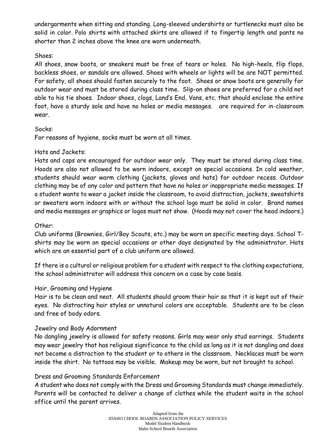undergarments when sitting and standing. Long-sleeved undershirts or turtlenecks must also be solid in color. Polo shirts with attached skirts are allowed if to fingertip length and pants no shorter than 2 inches above the knee are worn underneath.

#### Shoes:

All shoes, snow boots, or sneakers must be free of tears or holes. No high-heels, flip flops, backless shoes, or sandals are allowed. Shoes with wheels or lights will be are NOT permitted. For safety, all shoes should fasten securely to the foot. Shoes or snow boots are generally for outdoor wear and must be stored during class time. Slip-on shoes are preferred for a child not able to his tie shoes. Indoor shoes, clogs, Land's End, Vans, etc. that should enclose the entire foot, have a sturdy sole and have no holes or media messages. are required for in-classroom wear.

#### Socks:

For reasons of hygiene, socks must be worn at all times.

#### Hats and Jackets:

Hats and caps are encouraged for outdoor wear only. They must be stored during class time. Hoods are also not allowed to be worn indoors, except on special occasions. In cold weather, students should wear warm clothing (jackets, gloves and hats) for outdoor recess. Outdoor clothing may be of any color and pattern that have no holes or inappropriate media messages. If a student wants to wear a jacket inside the classroom, to avoid distraction, jackets, sweatshirts or sweaters worn indoors with or without the school logo must be solid in color. Brand names and media messages or graphics or logos must not show. (Hoods may not cover the head indoors.)

## Other:

Club uniforms (Brownies, Girl/Boy Scouts, etc.) may be worn on specific meeting days. School Tshirts may be worn on special occasions or other days designated by the administrator. Hats which are an essential part of a club uniform are allowed.

If there is a cultural or religious problem for a student with respect to the clothing expectations, the school administrator will address this concern on a case by case basis.

## Hair, Grooming and Hygiene

Hair is to be clean and neat. All students should groom their hair so that it is kept out of their eyes. No distracting hair styles or unnatural colors are acceptable. Students are to be clean and free of body odors.

## Jewelry and Body Adornment

No dangling jewelry is allowed for safety reasons. Girls may wear only stud earrings. Students may wear jewelry that has religious significance to the child as long as it is not dangling and does not become a distraction to the student or to others in the classroom. Necklaces must be worn inside the shirt. No tattoos may be visible. Makeup may be worn, but not brought to school.

#### Dress and Grooming Standards Enforcement

A student who does not comply with the Dress and Grooming Standards must change immediately. Parents will be contacted to deliver a change of clothes while the student waits in the school office until the parent arrives.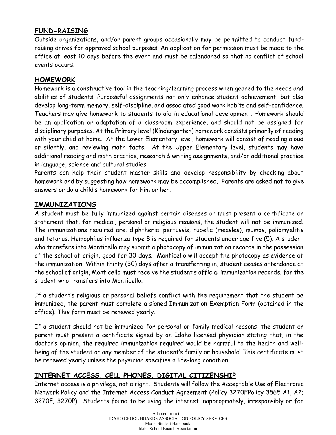## **FUND-RAISING**

Outside organizations, and/or parent groups occasionally may be permitted to conduct fundraising drives for approved school purposes. An application for permission must be made to the office at least 10 days before the event and must be calendared so that no conflict of school events occurs.

## **HOMEWORK**

Homework is a constructive tool in the teaching/learning process when geared to the needs and abilities of students. Purposeful assignments not only enhance student achievement, but also develop long-term memory, self-discipline, and associated good work habits and self-confidence. Teachers may give homework to students to aid in educational development. Homework should be an application or adaptation of a classroom experience, and should not be assigned for disciplinary purposes. At the Primary level (Kindergarten) homework consists primarily of reading with your child at home. At the Lower Elementary level, homework will consist of reading aloud or silently, and reviewing math facts. At the Upper Elementary level, students may have additional reading and math practice, research & writing assignments, and/or additional practice in language, science and cultural studies.

Parents can help their student master skills and develop responsibility by checking about homework and by suggesting how homework may be accomplished. Parents are asked not to give answers or do a child's homework for him or her.

## **IMMUNIZATIONS**

A student must be fully immunized against certain diseases or must present a certificate or statement that, for medical, personal or religious reasons, the student will not be immunized. The immunizations required are: diphtheria, pertussis, rubella (measles), mumps, poliomyelitis and tetanus. Hemophilus influenza type B is required for students under age five (5). A student who transfers into Monticello may submit a photocopy of immunization records in the possession of the school of origin, good for 30 days. Monticello will accept the photocopy as evidence of the immunization. Within thirty (30) days after a transferring in, student ceases attendance at the school of origin, Monticello must receive the student's official immunization records. for the student who transfers into Monticello.

If a student's religious or personal beliefs conflict with the requirement that the student be immunized, the parent must complete a signed Immunization Exemption Form (obtained in the office). This form must be renewed yearly.

If a student should not be immunized for personal or family medical reasons, the student or parent must present a certificate signed by an Idaho licensed physician stating that, in the doctor's opinion, the required immunization required would be harmful to the health and wellbeing of the student or any member of the student's family or household. This certificate must be renewed yearly unless the physician specifies a life-long condition.

## **INTERNET ACCESS, CELL PHONES, DIGITAL CITIZENSHIP**

Internet access is a privilege, not a right. Students will follow the Acceptable Use of Electronic Network Policy and the Internet Access Conduct Agreement (Policy 3270FPolicy 3565 A1, A2; 3270F; 3270P). Students found to be using the internet inappropriately, irresponsibly or for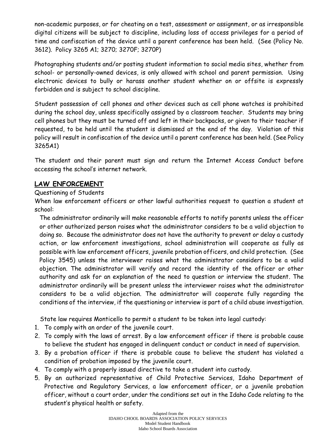non-academic purposes, or for cheating on a test, assessment or assignment, or as irresponsible digital citizens will be subject to discipline, including loss of access privileges for a period of time and confiscation of the device until a parent conference has been held. (See (Policy No. 3612). Policy 3265 A1; 3270; 3270F; 3270P)

Photographing students and/or posting student information to social media sites, whether from school- or personally-owned devices, is only allowed with school and parent permission. Using electronic devices to bully or harass another student whether on or offsite is expressly forbidden and is subject to school discipline.

Student possession of cell phones and other devices such as cell phone watches is prohibited during the school day, unless specifically assigned by a classroom teacher. Students may bring cell phones but they must be turned off and left in their backpacks, or given to their teacher if requested, to be held until the student is dismissed at the end of the day. Violation of this policy will result in confiscation of the device until a parent conference has been held. (See Policy 3265A1)

The student and their parent must sign and return the Internet Access Conduct before accessing the school's internet network.

## **LAW ENFORCEMENT**

#### Questioning of Students

When law enforcement officers or other lawful authorities request to question a student at school:

The administrator ordinarily will make reasonable efforts to notify parents unless the officer or other authorized person raises what the administrator considers to be a valid objection to doing so. Because the administrator does not have the authority to prevent or delay a custody action, or law enforcement investigations, school administration will cooperate as fully as possible with law enforcement officers, juvenile probation officers, and child protection. (See Policy 3545) unless the interviewer raises what the administrator considers to be a valid objection. The administrator will verify and record the identity of the officer or other authority and ask for an explanation of the need to question or interview the student. The administrator ordinarily will be present unless the interviewer raises what the administrator considers to be a valid objection. The administrator will cooperate fully regarding the conditions of the interview, if the questioning or interview is part of a child abuse investigation.

State law requires Monticello to permit a student to be taken into legal custody:

- 1. To comply with an order of the juvenile court.
- 2. To comply with the laws of arrest. By a law enforcement officer if there is probable cause to believe the student has engaged in delinquent conduct or conduct in need of supervision.
- 3. By a probation officer if there is probable cause to believe the student has violated a condition of probation imposed by the juvenile court.
- 4. To comply with a properly issued directive to take a student into custody.
- 5. By an authorized representative of Child Protective Services, Idaho Department of Protective and Regulatory Services, a law enforcement officer, or a juvenile probation officer, without a court order, under the conditions set out in the Idaho Code relating to the student's physical health or safety.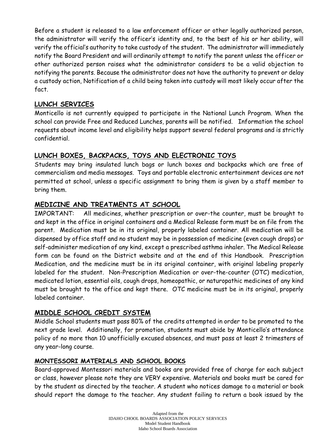Before a student is released to a law enforcement officer or other legally authorized person, the administrator will verify the officer's identity and, to the best of his or her ability, will verify the official's authority to take custody of the student. The administrator will immediately notify the Board President and will ordinarily attempt to notify the parent unless the officer or other authorized person raises what the administrator considers to be a valid objection to notifying the parents. Because the administrator does not have the authority to prevent or delay a custody action, Notification of a child being taken into custody will most likely occur after the fact.

## **LUNCH SERVICES**

Monticello is not currently equipped to participate in the National Lunch Program. When the school can provide Free and Reduced Lunches, parents will be notified. Information the school requests about income level and eligibility helps support several federal programs and is strictly confidential.

## **LUNCH BOXES, BACKPACKS, TOYS AND ELECTRONIC TOYS**

Students may bring insulated lunch bags or lunch boxes and backpacks which are free of commercialism and media messages. Toys and portable electronic entertainment devices are not permitted at school, unless a specific assignment to bring them is given by a staff member to bring them.

## **MEDICINE AND TREATMENTS AT SCHOOL**

IMPORTANT: All medicines, whether prescription or over-the counter, must be brought to and kept in the office in original containers and a Medical Release form must be on file from the parent. Medication must be in its original, properly labeled container. All medication will be dispensed by office staff and no student may be in possession of medicine (even cough drops) or self-administer medication of any kind, except a prescribed asthma inhaler. The Medical Release form can be found on the District website and at the end of this Handbook. Prescription Medication, and the medicine must be in its original container, with original labeling properly labeled for the student. Non-Prescription Medication or over-the-counter (OTC) medication, medicated lotion, essential oils, cough drops, homeopathic, or naturopathic medicines of any kind must be brought to the office and kept there. OTC medicine must be in its original, properly labeled container.

#### **MIDDLE SCHOOL CREDIT SYSTEM**

Middle School students must pass 80% of the credits attempted in order to be promoted to the next grade level. Additionally, for promotion, students must abide by Monticello's attendance policy of no more than 10 unofficially excused absences, and must pass at least 2 trimesters of any year-long course.

#### **MONTESSORI MATERIALS AND SCHOOL BOOKS**

Board-approved Montessori materials and books are provided free of charge for each subject or class, however please note they are VERY expensive. Materials and books must be cared for by the student as directed by the teacher. A student who notices damage to a material or book should report the damage to the teacher. Any student failing to return a book issued by the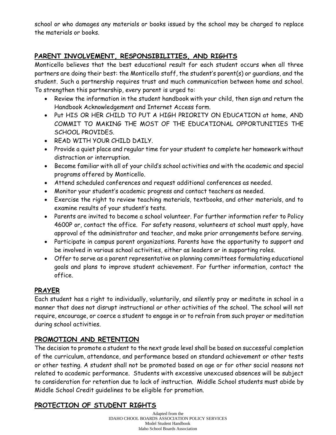school or who damages any materials or books issued by the school may be charged to replace the materials or books.

## **PARENT INVOLVEMENT, RESPONSIBILITIES, AND RIGHTS**

Monticello believes that the best educational result for each student occurs when all three partners are doing their best: the Monticello staff, the student's parent(s) or guardians, and the student. Such a partnership requires trust and much communication between home and school. To strengthen this partnership, every parent is urged to:

- Review the information in the student handbook with your child, then sign and return the Handbook Acknowledgement and Internet Access form.
- Put HIS OR HER CHILD TO PUT A HIGH PRIORITY ON EDUCATION at home, AND COMMIT TO MAKING THE MOST OF THE EDUCATIONAL OPPORTUNITIES THE SCHOOL PROVIDES.
- READ WITH YOUR CHILD DAILY.
- Provide a quiet place and regular time for your student to complete her homework without distraction or interruption.
- Become familiar with all of your child's school activities and with the academic and special programs offered by Monticello.
- Attend scheduled conferences and request additional conferences as needed.
- Monitor your student's academic progress and contact teachers as needed.
- Exercise the right to review teaching materials, textbooks, and other materials, and to examine results of your student's tests.
- Parents are invited to become a school volunteer. For further information refer to Policy 4600P or, contact the office. For safety reasons, volunteers at school must apply, have approval of the administrator and teacher, and make prior arrangements before serving.
- Participate in campus parent organizations. Parents have the opportunity to support and be involved in various school activities, either as leaders or in supporting roles.
- Offer to serve as a parent representative on planning committees formulating educational goals and plans to improve student achievement. For further information, contact the office.

## **PRAYER**

Each student has a right to individually, voluntarily, and silently pray or meditate in school in a manner that does not disrupt instructional or other activities of the school. The school will not require, encourage, or coerce a student to engage in or to refrain from such prayer or meditation during school activities.

## **PROMOTION AND RETENTION**

The decision to promote a student to the next grade level shall be based on successful completion of the curriculum, attendance, and performance based on standard achievement or other tests or other testing. A student shall not be promoted based on age or for other social reasons not related to academic performance. Students with excessive unexcused absences will be subject to consideration for retention due to lack of instruction. Middle School students must abide by Middle School Credit guidelines to be eligible for promotion.

## **PROTECTION OF STUDENT RIGHTS**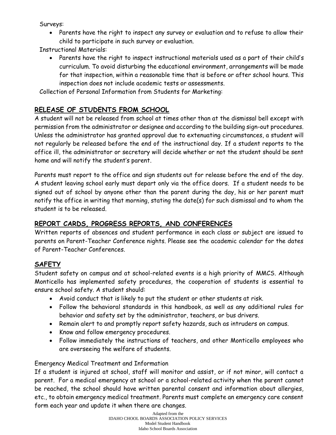Surveys:

• Parents have the right to inspect any survey or evaluation and to refuse to allow their child to participate in such survey or evaluation.

Instructional Materials:

• Parents have the right to inspect instructional materials used as a part of their child's curriculum. To avoid disturbing the educational environment, arrangements will be made for that inspection, within a reasonable time that is before or after school hours. This inspection does not include academic tests or assessments.

Collection of Personal Information from Students for Marketing:

## **RELEASE OF STUDENTS FROM SCHOOL**

A student will not be released from school at times other than at the dismissal bell except with permission from the administrator or designee and according to the building sign-out procedures. Unless the administrator has granted approval due to extenuating circumstances, a student will not regularly be released before the end of the instructional day. If a student reports to the office ill, the administrator or secretary will decide whether or not the student should be sent home and will notify the student's parent.

Parents must report to the office and sign students out for release before the end of the day. A student leaving school early must depart only via the office doors. If a student needs to be signed out of school by anyone other than the parent during the day, his or her parent must notify the office in writing that morning, stating the date(s) for such dismissal and to whom the student is to be released.

## **REPORT CARDS, PROGRESS REPORTS, AND CONFERENCES**

Written reports of absences and student performance in each class or subject are issued to parents on Parent-Teacher Conference nights. Please see the academic calendar for the dates of Parent-Teacher Conferences.

## **SAFETY**

Student safety on campus and at school-related events is a high priority of MMCS. Although Monticello has implemented safety procedures, the cooperation of students is essential to ensure school safety. A student should:

- Avoid conduct that is likely to put the student or other students at risk.
- Follow the behavioral standards in this handbook, as well as any additional rules for behavior and safety set by the administrator, teachers, or bus drivers.
- Remain alert to and promptly report safety hazards, such as intruders on campus.
- Know and follow emergency procedures.
- Follow immediately the instructions of teachers, and other Monticello employees who are overseeing the welfare of students.

## Emergency Medical Treatment and Information

If a student is injured at school, staff will monitor and assist, or if not minor, will contact a parent. For a medical emergency at school or a school-related activity when the parent cannot be reached, the school should have written parental consent and information about allergies, etc., to obtain emergency medical treatment. Parents must complete an emergency care consent form each year and update it when there are changes.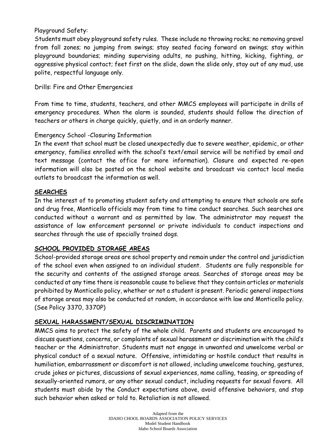#### Playground Safety:

Students must obey playground safety rules. These include no throwing rocks; no removing gravel from fall zones; no jumping from swings; stay seated facing forward on swings; stay within playground boundaries; minding supervising adults, no pushing, hitting, kicking, fighting, or aggressive physical contact; feet first on the slide, down the slide only, stay out of any mud, use polite, respectful language only.

Drills: Fire and Other Emergencies

From time to time, students, teachers, and other MMCS employees will participate in drills of emergency procedures. When the alarm is sounded, students should follow the direction of teachers or others in charge quickly, quietly, and in an orderly manner.

## Emergency School -Closuring Information

In the event that school must be closed unexpectedly due to severe weather, epidemic, or other emergency, families enrolled with the school's text/email service will be notified by email and text message (contact the office for more information). Closure and expected re-open information will also be posted on the school website and broadcast via contact local media outlets to broadcast the information as well.

#### **SEARCHES**

In the interest of to promoting student safety and attempting to ensure that schools are safe and drug free, Monticello officials may from time to time conduct searches. Such searches are conducted without a warrant and as permitted by law. The administrator may request the assistance of law enforcement personnel or private individuals to conduct inspections and searches through the use of specially trained dogs.

#### **SCHOOL PROVIDED STORAGE AREAS**

School-provided storage areas are school property and remain under the control and jurisdiction of the school even when assigned to an individual student. Students are fully responsible for the security and contents of the assigned storage areas. Searches of storage areas may be conducted at any time there is reasonable cause to believe that they contain articles or materials prohibited by Monticello policy, whether or not a student is present. Periodic general inspections of storage areas may also be conducted at random, in accordance with law and Monticello policy. (See Policy 3370, 3370P)

## **SEXUAL HARASSMENT/SEXUAL DISCRIMINATION**

MMCS aims to protect the safety of the whole child. Parents and students are encouraged to discuss questions, concerns, or complaints of sexual harassment or discrimination with the child's teacher or the Administrator. Students must not engage in unwanted and unwelcome verbal or physical conduct of a sexual nature. Offensive, intimidating or hostile conduct that results in humiliation, embarrassment or discomfort is not allowed, including unwelcome touching, gestures, crude jokes or pictures, discussions of sexual experiences, name calling, teasing, or spreading of sexually-oriented rumors, or any other sexual conduct, including requests for sexual favors. All students must abide by the Conduct expectations above, avoid offensive behaviors, and stop such behavior when asked or told to. Retaliation is not allowed.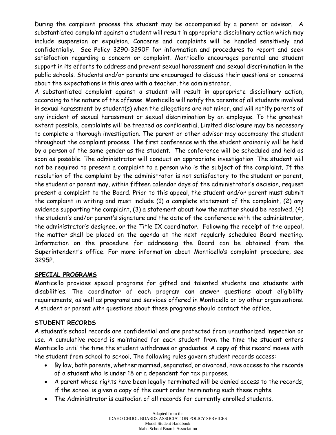During the complaint process the student may be accompanied by a parent or advisor. A substantiated complaint against a student will result in appropriate disciplinary action which may include suspension or expulsion. Concerns and complaints will be handled sensitively and confidentially. See Policy 3290-3290F for information and procedures to report and seek satisfaction regarding a concern or complaint. Monticello encourages parental and student support in its efforts to address and prevent sexual harassment and sexual discrimination in the public schools. Students and/or parents are encouraged to discuss their questions or concerns about the expectations in this area with a teacher, the administrator.

A substantiated complaint against a student will result in appropriate disciplinary action, according to the nature of the offense. Monticello will notify the parents of all students involved in sexual harassment by student(s) when the allegations are not minor, and will notify parents of any incident of sexual harassment or sexual discrimination by an employee. To the greatest extent possible, complaints will be treated as confidential. Limited disclosure may be necessary to complete a thorough investigation. The parent or other advisor may accompany the student throughout the complaint process. The first conference with the student ordinarily will be held by a person of the same gender as the student. The conference will be scheduled and held as soon as possible. The administrator will conduct an appropriate investigation. The student will not be required to present a complaint to a person who is the subject of the complaint. If the resolution of the complaint by the administrator is not satisfactory to the student or parent, the student or parent may, within fifteen calendar days of the administrator's decision, request present a complaint to the Board. Prior to this appeal, the student and/or parent must submit the complaint in writing and must include (1) a complete statement of the complaint, (2) any evidence supporting the complaint, (3) a statement about how the matter should be resolved, (4) the student's and/or parent's signature and the date of the conference with the administrator, the administrator's designee, or the Title IX coordinator. Following the receipt of the appeal, the matter shall be placed on the agenda at the next regularly scheduled Board meeting. Information on the procedure for addressing the Board can be obtained from the Superintendent's office. For more information about Monticello's complaint procedure, see 3295P.

#### **SPECIAL PROGRAMS**

Monticello provides special programs for gifted and talented students and students with disabilities. The coordinator of each program can answer questions about eligibility requirements, as well as programs and services offered in Monticello or by other organizations. A student or parent with questions about these programs should contact the office.

#### **STUDENT RECORDS**

A student's school records are confidential and are protected from unauthorized inspection or use. A cumulative record is maintained for each student from the time the student enters Monticello until the time the student withdraws or graduates. A copy of this record moves with the student from school to school. The following rules govern student records access:

- By law, both parents, whether married, separated, or divorced, have access to the records of a student who is under 18 or a dependent for tax purposes.
- A parent whose rights have been legally terminated will be denied access to the records, if the school is given a copy of the court order terminating such these rights.
- The Administrator is custodian of all records for currently enrolled students.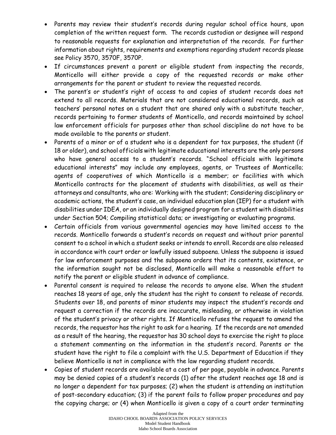- Parents may review their student's records during regular school office hours, upon completion of the written request form. The records custodian or designee will respond to reasonable requests for explanation and interpretation of the records. For further information about rights, requirements and exemptions regarding student records please see Policy 3570, 3570F, 3570P.
- If circumstances prevent a parent or eligible student from inspecting the records, Monticello will either provide a copy of the requested records or make other arrangements for the parent or student to review the requested records.
- The parent's or student's right of access to and copies of student records does not extend to all records. Materials that are not considered educational records, such as teachers' personal notes on a student that are shared only with a substitute teacher, records pertaining to former students of Monticello, and records maintained by school law enforcement officials for purposes other than school discipline do not have to be made available to the parents or student.
- Parents of a minor or of a student who is a dependent for tax purposes, the student (if 18 or older), and school officials with legitimate educational interests are the only persons who have general access to a student's records. "School officials with legitimate educational interests" may include any employees, agents, or Trustees of Monticello; agents of cooperatives of which Monticello is a member; or facilities with which Monticello contracts for the placement of students with disabilities, as well as their attorneys and consultants, who are: Working with the student; Considering disciplinary or academic actions, the student's case, an individual education plan (IEP) for a student with disabilities under IDEA, or an individually designed program for a student with disabilities under Section 504; Compiling statistical data; or investigating or evaluating programs.
- Certain officials from various governmental agencies may have limited access to the records. Monticello forwards a student's records on request and without prior parental consent to a school in which a student seeks or intends to enroll. Records are also released in accordance with court order or lawfully issued subpoena. Unless the subpoena is issued for law enforcement purposes and the subpoena orders that its contents, existence, or the information sought not be disclosed, Monticello will make a reasonable effort to notify the parent or eligible student in advance of compliance.
- Parental consent is required to release the records to anyone else. When the student reaches 18 years of age, only the student has the right to consent to release of records. Students over 18, and parents of minor students may inspect the student's records and request a correction if the records are inaccurate, misleading, or otherwise in violation of the student's privacy or other rights. If Monticello refuses the request to amend the records, the requestor has the right to ask for a hearing. If the records are not amended as a result of the hearing, the requestor has 30 school days to exercise the right to place a statement commenting on the information in the student's record. Parents or the student have the right to file a complaint with the U.S. Department of Education if they believe Monticello is not in compliance with the law regarding student records.
- Copies of student records are available at a cost of per page, payable in advance. Parents may be denied copies of a student's records (1) after the student reaches age 18 and is no longer a dependent for tax purposes; (2) when the student is attending an institution of post-secondary education; (3) if the parent fails to follow proper procedures and pay the copying charge; or (4) when Monticello is given a copy of a court order terminating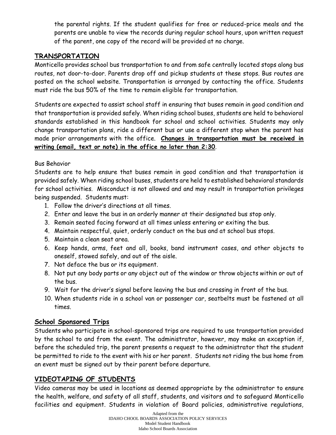the parental rights. If the student qualifies for free or reduced-price meals and the parents are unable to view the records during regular school hours, upon written request of the parent, one copy of the record will be provided at no charge.

## **TRANSPORTATION**

Monticello provides school bus transportation to and from safe centrally located stops along bus routes, not door-to-door. Parents drop off and pickup students at these stops. Bus routes are posted on the school website. Transportation is arranged by contacting the office. Students must ride the bus 50% of the time to remain eligible for transportation.

Students are expected to assist school staff in ensuring that buses remain in good condition and that transportation is provided safely. When riding school buses, students are held to behavioral standards established in this handbook for school and school activities. Students may only change transportation plans, ride a different bus or use a different stop when the parent has made prior arrangements with the office. **Changes in transportation must be received in writing (email, text or note) in the office no later than 2:30**.

## Bus Behavior

Students are to help ensure that buses remain in good condition and that transportation is provided safely. When riding school buses, students are held to established behavioral standards for school activities. Misconduct is not allowed and and may result in transportation privileges being suspended. Students must:

- 1. Follow the driver's directions at all times.
- 2. Enter and leave the bus in an orderly manner at their designated bus stop only.
- 3. Remain seated facing forward at all times unless entering or exiting the bus.
- 4. Maintain respectful, quiet, orderly conduct on the bus and at school bus stops.
- 5. Maintain a clean seat area.
- 6. Keep hands, arms, feet and all, books, band instrument cases, and other objects to oneself, stowed safely, and out of the aisle.
- 7. Not deface the bus or its equipment.
- 8. Not put any body parts or any object out of the window or throw objects within or out of the bus.
- 9. Wait for the driver's signal before leaving the bus and crossing in front of the bus.
- 10. When students ride in a school van or passenger car, seatbelts must be fastened at all times.

## **School Sponsored Trips**

Students who participate in school-sponsored trips are required to use transportation provided by the school to and from the event. The administrator, however, may make an exception if, before the scheduled trip, the parent presents a request to the administrator that the student be permitted to ride to the event with his or her parent. Students not riding the bus home from an event must be signed out by their parent before departure.

## **VIDEOTAPING OF STUDENTS**

Video cameras may be used in locations as deemed appropriate by the administrator to ensure the health, welfare, and safety of all staff, students, and visitors and to safeguard Monticello facilities and equipment. Students in violation of Board policies, administrative regulations,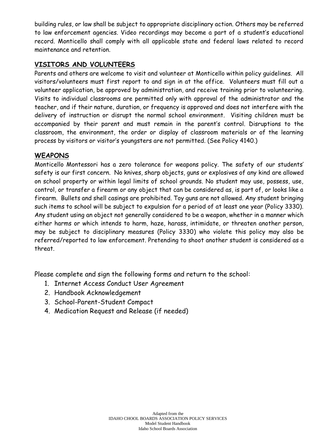building rules, or law shall be subject to appropriate disciplinary action. Others may be referred to law enforcement agencies. Video recordings may become a part of a student's educational record. Monticello shall comply with all applicable state and federal laws related to record maintenance and retention.

## **VISITORS AND VOLUNTEERS**

Parents and others are welcome to visit and volunteer at Monticello within policy guidelines. All visitors/volunteers must first report to and sign in at the office. Volunteers must fill out a volunteer application, be approved by administration, and receive training prior to volunteering. Visits to individual classrooms are permitted only with approval of the administrator and the teacher, and if their nature, duration, or frequency is approved and does not interfere with the delivery of instruction or disrupt the normal school environment. Visiting children must be accompanied by their parent and must remain in the parent's control. Disruptions to the classroom, the environment, the order or display of classroom materials or of the learning process by visitors or visitor's youngsters are not permitted. (See Policy 4140.)

## **WEAPONS**

Monticello Montessori has a zero tolerance for weapons policy. The safety of our students' safety is our first concern. No knives, sharp objects, guns or explosives of any kind are allowed on school property or within legal limits of school grounds. No student may use, possess, use, control, or transfer a firearm or any object that can be considered as, is part of, or looks like a firearm. Bullets and shell casings are prohibited. Toy guns are not allowed. Any student bringing such items to school will be subject to expulsion for a period of at least one year (Policy 3330). Any student using an object not generally considered to be a weapon, whether in a manner which either harms or which intends to harm, haze, harass, intimidate, or threaten another person, may be subject to disciplinary measures (Policy 3330) who violate this policy may also be referred/reported to law enforcement. Pretending to shoot another student is considered as a threat.

Please complete and sign the following forms and return to the school:

- 1. Internet Access Conduct User Agreement
- 2. Handbook Acknowledgement
- 3. School-Parent-Student Compact
- 4. Medication Request and Release (if needed)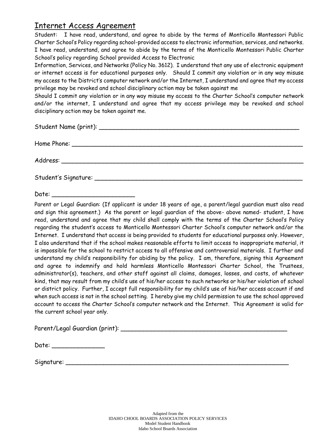## Internet Access Agreement

Student: I have read, understand, and agree to abide by the terms of Monticello Montessori Public Charter School's Policy regarding school-provided access to electronic information, services, and networks. I have read, understand, and agree to abide by the terms of the Monticello Montessori Public Charter School's policy regarding School provided Access to Electronic

Information, Services, and Networks (Policy No. 3612). I understand that any use of electronic equipment or internet access is for educational purposes only. Should I commit any violation or in any way misuse my access to the District's computer network and/or the Internet, I understand and agree that my access privilege may be revoked and school disciplinary action may be taken against me

Should I commit any violation or in any way misuse my access to the Charter School's computer network and/or the internet, I understand and agree that my access privilege may be revoked and school disciplinary action may be taken against me.

Home Phone: \_\_\_\_\_\_\_\_\_\_\_\_\_\_\_\_\_\_\_\_\_\_\_\_\_\_\_\_\_\_\_\_\_\_\_\_\_\_\_\_\_\_\_\_\_\_\_\_\_\_\_\_\_\_\_\_\_\_\_\_\_

Address: \_\_\_\_\_\_\_\_\_\_\_\_\_\_\_\_\_\_\_\_\_\_\_\_\_\_\_\_\_\_\_\_\_\_\_\_\_\_\_\_\_\_\_\_\_\_\_\_\_\_\_\_\_\_\_\_\_\_\_\_\_\_\_\_

Student's Signature: \_\_\_\_\_\_\_\_\_\_\_\_\_\_\_\_\_\_\_\_\_\_\_\_\_\_\_\_\_\_\_\_\_\_\_\_\_\_\_\_\_\_\_\_\_\_\_\_\_\_\_\_\_\_\_

Date: \_\_\_\_\_\_\_\_\_\_\_\_\_\_\_\_\_\_\_\_\_\_

Parent or Legal Guardian: (If applicant is under 18 years of age, a parent/legal guardian must also read and sign this agreement.) As the parent or legal guardian of the above- above named- student, I have read, understand and agree that my child shall comply with the terms of the Charter School's Policy regarding the student's access to Monticello Montessori Charter School's computer network and/or the Internet. I understand that access is being provided to students for educational purposes only. However, I also understand that if the school makes reasonable efforts to limit access to inappropriate material, it is impossible for the school to restrict access to all offensive and controversial materials. I further and understand my child's responsibility for abiding by the policy. I am, therefore, signing this Agreement and agree to indemnify and hold harmless Monticello Montessori Charter School, the Trustees, administrator(s), teachers, and other staff against all claims, damages, losses, and costs, of whatever kind, that may result from my child's use of his/her access to such networks or his/her violation of school or district policy. Further, I accept full responsibility for my child's use of his/her access account if and when such access is not in the school setting. I hereby give my child permission to use the school approved account to access the Charter School's computer network and the Internet. This Agreement is valid for the current school year only.

Parent/Legal Guardian (print): \_\_\_\_\_\_\_\_\_\_\_\_\_\_\_\_\_\_\_\_\_\_\_\_\_\_\_\_\_\_\_\_\_\_\_\_\_\_\_\_\_\_\_\_

| Date: |
|-------|
|-------|

Signature: \_\_\_\_\_\_\_\_\_\_\_\_\_\_\_\_\_\_\_\_\_\_\_\_\_\_\_\_\_\_\_\_\_\_\_\_\_\_\_\_\_\_\_\_\_\_\_\_\_\_\_\_\_\_\_\_\_\_\_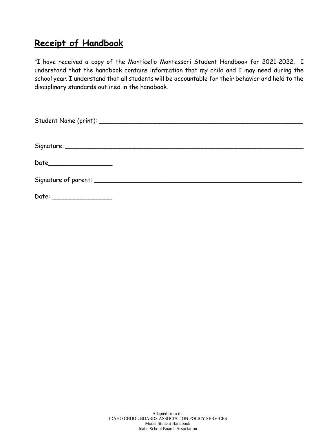## **Receipt of Handbook**

"I have received a copy of the Monticello Montessori Student Handbook for 2021-2022. I understand that the handbook contains information that my child and I may need during the school year. I understand that all students will be accountable for their behavior and held to the disciplinary standards outlined in the handbook.

| Date______________________ |  |  |
|----------------------------|--|--|
|                            |  |  |
|                            |  |  |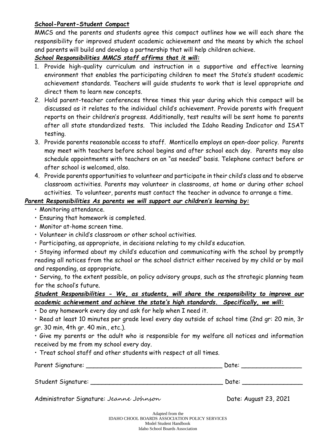#### **School-Parent-Student Compact**

MMCS and the parents and students agree this compact outlines how we will each share the responsibility for improved student academic achievement and the means by which the school and parents will build and develop a partnership that will help children achieve.

#### *School Responsibilities MMCS staff affirms that it will:*

- 1. Provide high-quality curriculum and instruction in a supportive and effective learning environment that enables the participating children to meet the State's student academic achievement standards. Teachers will guide students to work that is level appropriate and direct them to learn new concepts.
- 2. Hold parent-teacher conferences three times this year during which this compact will be discussed as it relates to the individual child's achievement. Provide parents with frequent reports on their children's progress. Additionally, test results will be sent home to parents after all state standardized tests. This included the Idaho Reading Indicator and ISAT testing.
- 3. Provide parents reasonable access to staff. Monticello employs an open-door policy. Parents may meet with teachers before school begins and after school each day. Parents may also schedule appointments with teachers on an "as needed" basis. Telephone contact before or after school is welcomed, also.
- 4. Provide parents opportunities to volunteer and participate in their child's class and to observe classroom activities. Parents may volunteer in classrooms, at home or during other school activities. To volunteer, parents must contact the teacher in advance to arrange a time.

#### *Parent Responsibilities As parents we will support our children's learning by:*

- Monitoring attendance.
- Ensuring that homework is completed.
- Monitor at-home screen time.
- Volunteer in child's classroom or other school activities.
- Participating, as appropriate, in decisions relating to my child's education.

• Staying informed about my child's education and communicating with the school by promptly reading all notices from the school or the school district either received by my child or by mail and responding, as appropriate.

• Serving, to the extent possible, on policy advisory groups, such as the strategic planning team for the school's future.

## *Student Responsibilities - We, as students, will share the responsibility to improve our academic achievement and achieve the state's high standards. Specifically, we will:*

• Do any homework every day and ask for help when I need it.

• Read at least 10 minutes per grade level every day outside of school time (2nd gr: 20 min, 3r gr. 30 min, 4th gr. 40 min., etc.).

• Give my parents or the adult who is responsible for my welfare all notices and information received by me from my school every day.

• Treat school staff and other students with respect at all times.

| Parent Signature: | Date: |  |  |
|-------------------|-------|--|--|
|                   |       |  |  |
|                   |       |  |  |

Student Signature: \_\_\_\_\_\_\_\_\_\_\_\_\_\_\_\_\_\_\_\_\_\_\_\_\_\_\_\_\_\_\_\_\_\_\_ Date: \_\_\_\_\_\_\_\_\_\_\_\_\_\_\_\_

Administrator Signature: Jeanne Johnson Charles Communistrator Signature: Jeanne Johnson Charles Communistrator